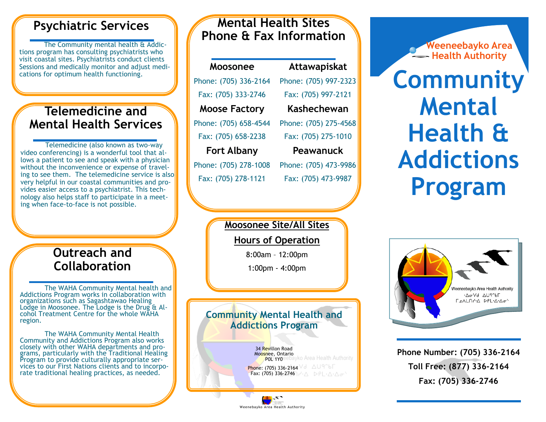### **Psychiatric Services**

The Community mental health & Addictions program has consulting psychiatrists who visit coastal sites. Psychiatrists conduct clients Sessions and medically monitor and adjust medications for optimum health functioning.

### **Telemedicine and Mental Health Services**

Telemedicine (also known as two-way video conferencing) is a wonderful tool that allows a patient to see and speak with a physician without the inconvenience or expense of traveling to see them. The telemedicine service is also very helpful in our coastal communities and provides easier access to a psychiatrist. This technology also helps staff to participate in a meeting when face-to-face is not possible.

### **Outreach and Collaboration**

The WAHA Community Mental health and Addictions Program works in collaboration with organizations such as Sagashtawao Healing Lodge in Moosonee. The Lodge is the Drug & Alcohol Treatment Centre for the whole WAHA region.

The WAHA Community Mental Health Community and Addictions Program also works closely with other WAHA departments and programs, particularly with the Traditional Healing Program to provide culturally appropriate services to our First Nations clients and to incorporate traditional healing practices, as needed.

### **Mental Health Sites Phone & Fax Information**

**Moosonee** Phone: (705) 336-2164 Fax: (705) 333-2746 **Moose Factory** Phone: (705) 658-4544 Fax: (705) 658-2238 **Fort Albany** Phone: (705) 278-1008

Fax: (705) 278-1121

**Attawapiskat** Phone: (705) 997-2323 Fax: (705) 997-2121 **Kashechewan** Phone: (705) 275-4568 Fax: (705) 275-1010 **Peawanuck**  Phone: (705) 473-9986 Fax: (705) 473-9987

**Weeneebayko Area Health Authority** 

# **Community Mental Health & Addictions Program**

**Moosonee Site/All Sites**

#### **Hours of Operation**

8:00am – 12:00pm

1:00pm - 4:00pm

### **Community Mental Health and Addictions Program**

Weenebayko Area Health Authority





**Phone Number: (705) 336-2164 Toll Free: (877) 336-2164 Fax: (705) 336-2746**